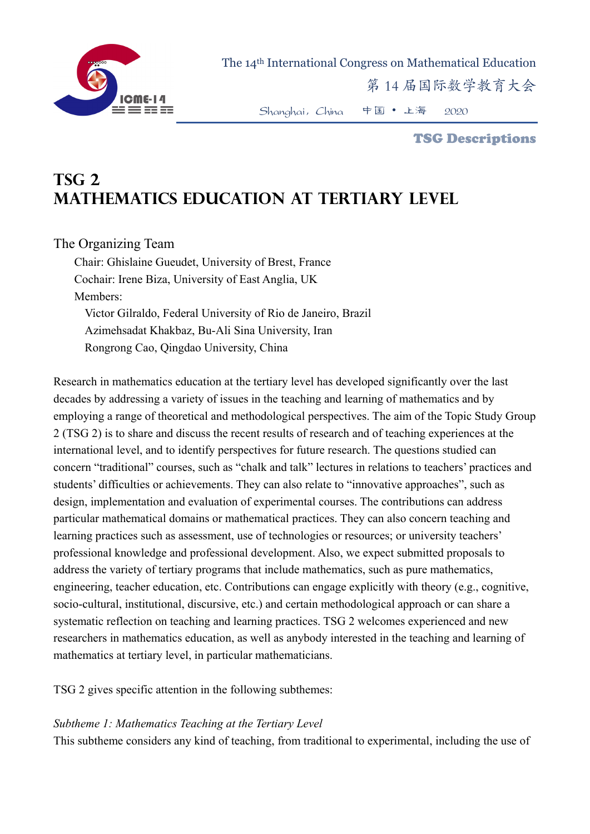

The 14th International Congress on Mathematical Education

第 14 届国际数学教育大会

Shanghai,China 中国 • 上海 2020

#### TSG Descriptions

# **TSG 2 Mathematics education at tertiary level**

## The Organizing Team

Chair: Ghislaine Gueudet, University of Brest, France Cochair: Irene Biza, University of East Anglia, UK Members: Victor Gilraldo, Federal University of Rio de Janeiro, Brazil Azimehsadat Khakbaz, Bu-Ali Sina University, Iran Rongrong Cao, Qingdao University, China

Research in mathematics education at the tertiary level has developed significantly over the last decades by addressing a variety of issues in the teaching and learning of mathematics and by employing a range of theoretical and methodological perspectives. The aim of the Topic Study Group 2 (TSG 2) is to share and discuss the recent results of research and of teaching experiences at the international level, and to identify perspectives for future research. The questions studied can concern "traditional" courses, such as "chalk and talk" lectures in relations to teachers' practices and students' difficulties or achievements. They can also relate to "innovative approaches", such as design, implementation and evaluation of experimental courses. The contributions can address particular mathematical domains or mathematical practices. They can also concern teaching and learning practices such as assessment, use of technologies or resources; or university teachers' professional knowledge and professional development. Also, we expect submitted proposals to address the variety of tertiary programs that include mathematics, such as pure mathematics, engineering, teacher education, etc. Contributions can engage explicitly with theory (e.g., cognitive, socio-cultural, institutional, discursive, etc.) and certain methodological approach or can share a systematic reflection on teaching and learning practices. TSG 2 welcomes experienced and new researchers in mathematics education, as well as anybody interested in the teaching and learning of mathematics at tertiary level, in particular mathematicians.

TSG 2 gives specific attention in the following subthemes:

### *Subtheme 1: Mathematics Teaching at the Tertiary Level*

This subtheme considers any kind of teaching, from traditional to experimental, including the use of